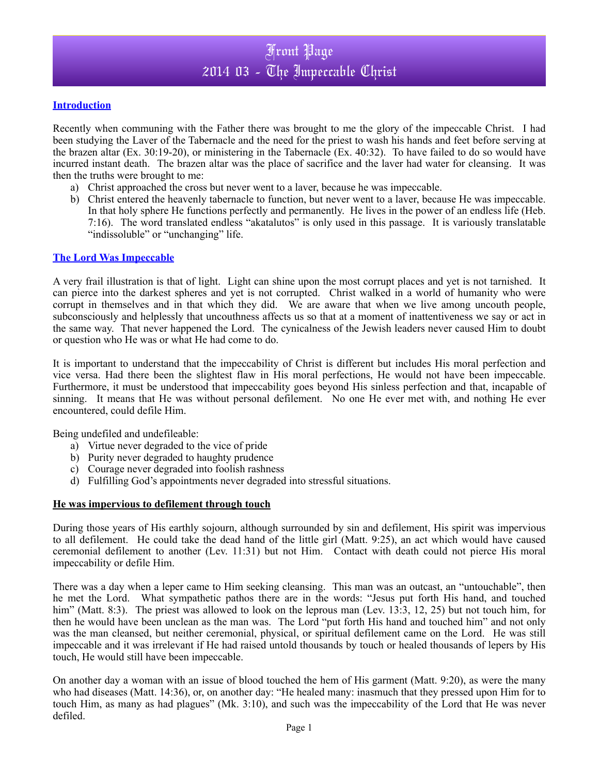## **Introduction**

Recently when communing with the Father there was brought to me the glory of the impeccable Christ. I had been studying the Laver of the Tabernacle and the need for the priest to wash his hands and feet before serving at the brazen altar (Ex. 30:19-20), or ministering in the Tabernacle (Ex. 40:32). To have failed to do so would have incurred instant death. The brazen altar was the place of sacrifice and the laver had water for cleansing. It was then the truths were brought to me:

- a) Christ approached the cross but never went to a laver, because he was impeccable.
- b) Christ entered the heavenly tabernacle to function, but never went to a laver, because He was impeccable. In that holy sphere He functions perfectly and permanently. He lives in the power of an endless life (Heb. 7:16). The word translated endless "akatalutos" is only used in this passage. It is variously translatable "indissoluble" or "unchanging" life.

#### **The Lord Was Impeccable**

A very frail illustration is that of light. Light can shine upon the most corrupt places and yet is not tarnished. It can pierce into the darkest spheres and yet is not corrupted. Christ walked in a world of humanity who were corrupt in themselves and in that which they did. We are aware that when we live among uncouth people, subconsciously and helplessly that uncouthness affects us so that at a moment of inattentiveness we say or act in the same way. That never happened the Lord. The cynicalness of the Jewish leaders never caused Him to doubt or question who He was or what He had come to do.

It is important to understand that the impeccability of Christ is different but includes His moral perfection and vice versa. Had there been the slightest flaw in His moral perfections, He would not have been impeccable. Furthermore, it must be understood that impeccability goes beyond His sinless perfection and that, incapable of sinning. It means that He was without personal defilement. No one He ever met with, and nothing He ever encountered, could defile Him.

Being undefiled and undefileable:

- a) Virtue never degraded to the vice of pride
- b) Purity never degraded to haughty prudence
- c) Courage never degraded into foolish rashness
- d) Fulfilling God's appointments never degraded into stressful situations.

## **He was impervious to defilement through touch**

During those years of His earthly sojourn, although surrounded by sin and defilement, His spirit was impervious to all defilement. He could take the dead hand of the little girl (Matt. 9:25), an act which would have caused ceremonial defilement to another (Lev. 11:31) but not Him. Contact with death could not pierce His moral impeccability or defile Him.

There was a day when a leper came to Him seeking cleansing. This man was an outcast, an "untouchable", then he met the Lord. What sympathetic pathos there are in the words: "Jesus put forth His hand, and touched him" (Matt. 8:3). The priest was allowed to look on the leprous man (Lev. 13:3, 12, 25) but not touch him, for then he would have been unclean as the man was. The Lord "put forth His hand and touched him" and not only was the man cleansed, but neither ceremonial, physical, or spiritual defilement came on the Lord. He was still impeccable and it was irrelevant if He had raised untold thousands by touch or healed thousands of lepers by His touch, He would still have been impeccable.

On another day a woman with an issue of blood touched the hem of His garment (Matt. 9:20), as were the many who had diseases (Matt. 14:36), or, on another day: "He healed many: inasmuch that they pressed upon Him for to touch Him, as many as had plagues" (Mk. 3:10), and such was the impeccability of the Lord that He was never defiled.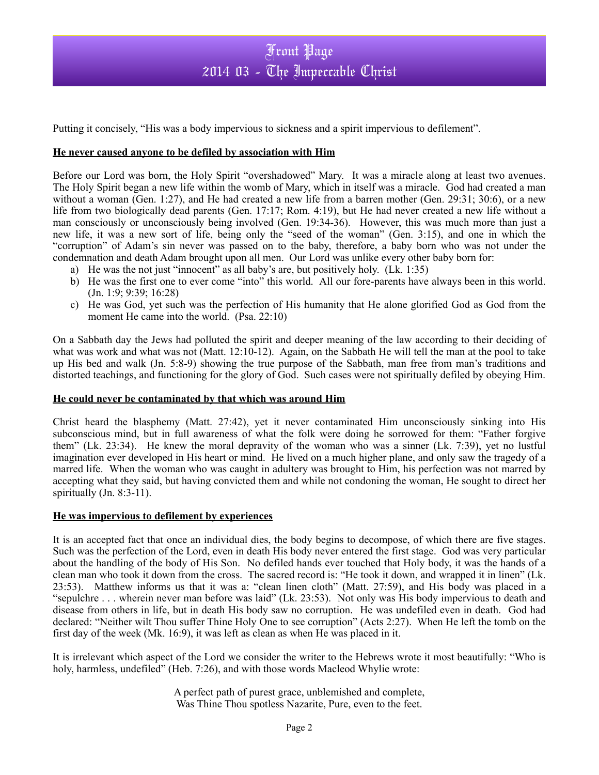# Front Page 2014 03 - The Impeccable Christ

Putting it concisely, "His was a body impervious to sickness and a spirit impervious to defilement".

#### **He never caused anyone to be defiled by association with Him**

Before our Lord was born, the Holy Spirit "overshadowed" Mary. It was a miracle along at least two avenues. The Holy Spirit began a new life within the womb of Mary, which in itself was a miracle. God had created a man without a woman (Gen. 1:27), and He had created a new life from a barren mother (Gen. 29:31; 30:6), or a new life from two biologically dead parents (Gen. 17:17; Rom. 4:19), but He had never created a new life without a man consciously or unconsciously being involved (Gen. 19:34-36). However, this was much more than just a new life, it was a new sort of life, being only the "seed of the woman" (Gen. 3:15), and one in which the "corruption" of Adam's sin never was passed on to the baby, therefore, a baby born who was not under the condemnation and death Adam brought upon all men. Our Lord was unlike every other baby born for:

- a) He was the not just "innocent" as all baby's are, but positively holy. (Lk. 1:35)
- b) He was the first one to ever come "into" this world. All our fore-parents have always been in this world. (Jn. 1:9; 9:39; 16:28)
- c) He was God, yet such was the perfection of His humanity that He alone glorified God as God from the moment He came into the world. (Psa. 22:10)

On a Sabbath day the Jews had polluted the spirit and deeper meaning of the law according to their deciding of what was work and what was not (Matt. 12:10-12). Again, on the Sabbath He will tell the man at the pool to take up His bed and walk (Jn. 5:8-9) showing the true purpose of the Sabbath, man free from man's traditions and distorted teachings, and functioning for the glory of God. Such cases were not spiritually defiled by obeying Him.

#### **He could never be contaminated by that which was around Him**

Christ heard the blasphemy (Matt. 27:42), yet it never contaminated Him unconsciously sinking into His subconscious mind, but in full awareness of what the folk were doing he sorrowed for them: "Father forgive them" (Lk. 23:34). He knew the moral depravity of the woman who was a sinner (Lk. 7:39), yet no lustful imagination ever developed in His heart or mind. He lived on a much higher plane, and only saw the tragedy of a marred life. When the woman who was caught in adultery was brought to Him, his perfection was not marred by accepting what they said, but having convicted them and while not condoning the woman, He sought to direct her spiritually (Jn. 8:3-11).

#### **He was impervious to defilement by experiences**

It is an accepted fact that once an individual dies, the body begins to decompose, of which there are five stages. Such was the perfection of the Lord, even in death His body never entered the first stage. God was very particular about the handling of the body of His Son. No defiled hands ever touched that Holy body, it was the hands of a clean man who took it down from the cross. The sacred record is: "He took it down, and wrapped it in linen" (Lk. 23:53). Matthew informs us that it was a: "clean linen cloth" (Matt. 27:59), and His body was placed in a "sepulchre . . . wherein never man before was laid" (Lk. 23:53). Not only was His body impervious to death and disease from others in life, but in death His body saw no corruption. He was undefiled even in death. God had declared: "Neither wilt Thou suffer Thine Holy One to see corruption" (Acts 2:27). When He left the tomb on the first day of the week (Mk. 16:9), it was left as clean as when He was placed in it.

It is irrelevant which aspect of the Lord we consider the writer to the Hebrews wrote it most beautifully: "Who is holy, harmless, undefiled" (Heb. 7:26), and with those words Macleod Whylie wrote:

> A perfect path of purest grace, unblemished and complete, Was Thine Thou spotless Nazarite, Pure, even to the feet.